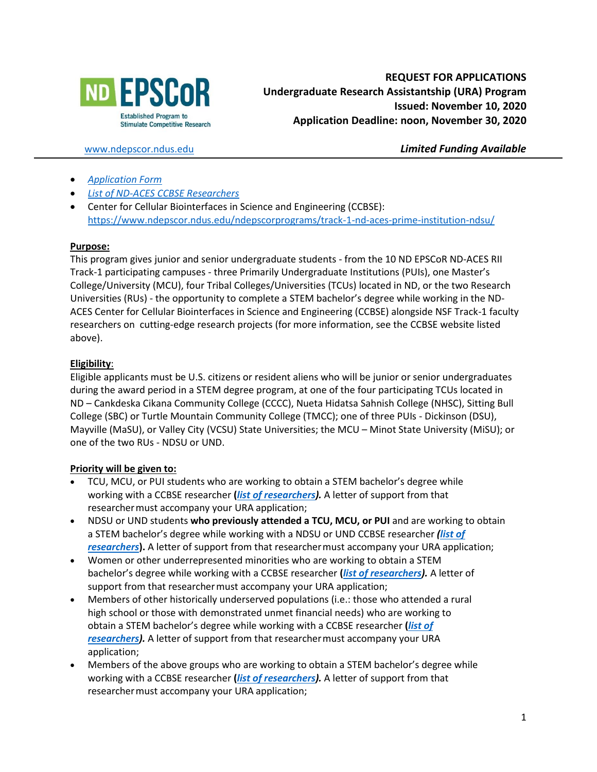

[www.ndepscor.ndus.edu](http://www.ndepscor.ndus.edu/) *Limited Funding Available*

- *[Application Form](https://www.ndepscor.ndus.edu/fileadmin/ndus/ndepscor/Undergraduate_Research_Assistantship/URA2021.22applform.pdf)*
- *[List of ND-ACES CCBSE](https://www.ndepscor.ndus.edu/fileadmin/ndus/ndepscor/REU/2021REUResearcherListFINAL2020-10-27web.pdf) Researchers*
- Center for Cellular Biointerfaces in Science and Engineering (CCBSE): <https://www.ndepscor.ndus.edu/ndepscorprograms/track-1-nd-aces-prime-institution-ndsu/>

## **Purpose:**

This program gives junior and senior undergraduate students - from the 10 ND EPSCoR ND-ACES RII Track-1 participating campuses - three Primarily Undergraduate Institutions (PUIs), one Master's College/University (MCU), four Tribal Colleges/Universities (TCUs) located in ND, or the two Research Universities (RUs) - the opportunity to complete a STEM bachelor's degree while working in the ND-ACES Center for Cellular Biointerfaces in Science and Engineering (CCBSE) alongside NSF Track-1 faculty researchers on cutting-edge research projects (for more information, see the CCBSE website listed above).

# **Eligibility**:

Eligible applicants must be U.S. citizens or resident aliens who will be junior or senior undergraduates during the award period in a STEM degree program, at one of the four participating TCUs located in ND – Cankdeska Cikana Community College (CCCC), Nueta Hidatsa Sahnish College (NHSC), Sitting Bull College (SBC) or Turtle Mountain Community College (TMCC); one of three PUIs - Dickinson (DSU), Mayville (MaSU), or Valley City (VCSU) State Universities; the MCU – Minot State University (MiSU); or one of the two RUs - NDSU or UND.

# **Priority will be given to:**

- TCU, MCU, or PUI students who are working to obtain a STEM bachelor's degree while working with a CCBSE researcher **(***[list of researchers\)](https://www.ndepscor.ndus.edu/fileadmin/ndus/ndepscor/REU/2021REUResearcherListFINAL2020-10-27web.pdf).* A letter of support from that researchermust accompany your URA application;
- NDSU or UND students **who previously attended a TCU, MCU, or PUI** and are working to obtain a STEM bachelor's degree while working with a NDSU or UND CCBSE researcher *[\(list of](https://www.ndepscor.ndus.edu/fileadmin/ndus/ndepscor/REU/2021REUResearcherListFINAL2020-10-27web.pdf)  [researchers](https://www.ndepscor.ndus.edu/fileadmin/ndus/ndepscor/REU/2021REUResearcherListFINAL2020-10-27web.pdf)***).** A letter of support from that researchermust accompany your URA application;
- Women or other underrepresented minorities who are working to obtain a STEM bachelor's degree while working with a CCBSE researcher **(***[list of researchers\)](https://www.ndepscor.ndus.edu/fileadmin/ndus/ndepscor/REU/2021REUResearcherListFINAL2020-10-27web.pdf).* A letter of support from that researcher must accompany your URA application;
- Members of other historically underserved populations (i.e.: those who attended a rural high school or those with demonstrated unmet financial needs) who are working to obtain a STEM bachelor's degree while working with a CCBSE researcher **(***[list of](https://www.ndepscor.ndus.edu/fileadmin/ndus/ndepscor/REU/2021REUResearcherListFINAL2020-10-27web.pdf)  [researchers\)](https://www.ndepscor.ndus.edu/fileadmin/ndus/ndepscor/REU/2021REUResearcherListFINAL2020-10-27web.pdf).* A letter of support from that researchermust accompany your URA application;
- Members of the above groups who are working to obtain a STEM bachelor's degree while working with a CCBSE researcher **(***[list of researchers\)](https://www.ndepscor.ndus.edu/fileadmin/ndus/ndepscor/REU/2021REUResearcherListFINAL2020-10-27web.pdf).* A letter of support from that researchermust accompany your URA application;